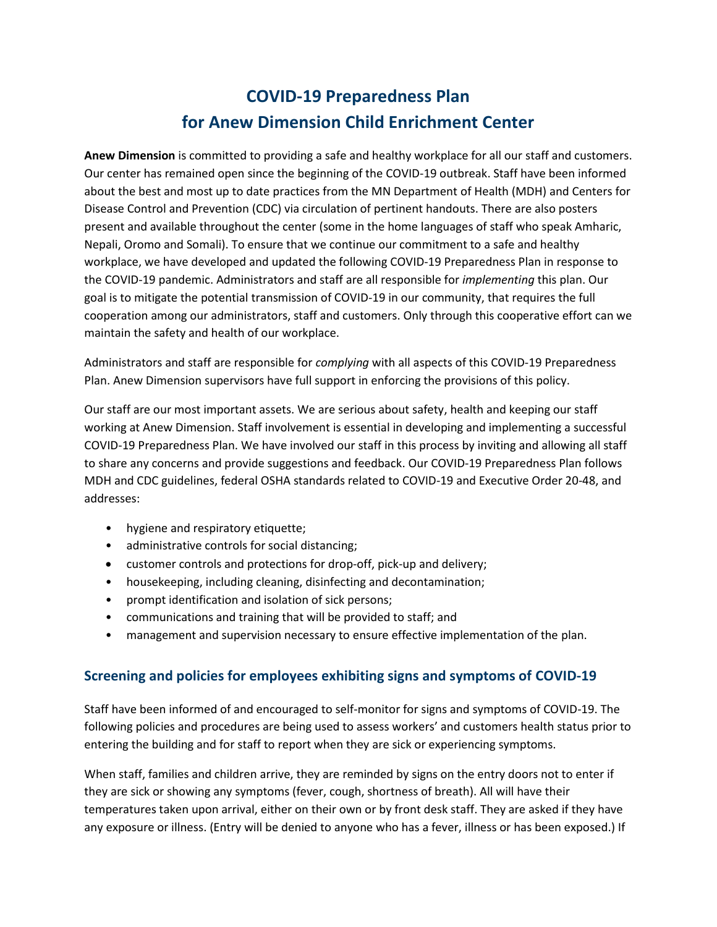# **COVID-19 Preparedness Plan for Anew Dimension Child Enrichment Center**

**Anew Dimension** is committed to providing a safe and healthy workplace for all our staff and customers. Our center has remained open since the beginning of the COVID-19 outbreak. Staff have been informed about the best and most up to date practices from the MN Department of Health (MDH) and Centers for Disease Control and Prevention (CDC) via circulation of pertinent handouts. There are also posters present and available throughout the center (some in the home languages of staff who speak Amharic, Nepali, Oromo and Somali). To ensure that we continue our commitment to a safe and healthy workplace, we have developed and updated the following COVID-19 Preparedness Plan in response to the COVID-19 pandemic. Administrators and staff are all responsible for *implementing* this plan. Our goal is to mitigate the potential transmission of COVID-19 in our community, that requires the full cooperation among our administrators, staff and customers. Only through this cooperative effort can we maintain the safety and health of our workplace.

Administrators and staff are responsible for *complying* with all aspects of this COVID-19 Preparedness Plan. Anew Dimension supervisors have full support in enforcing the provisions of this policy.

Our staff are our most important assets. We are serious about safety, health and keeping our staff working at Anew Dimension. Staff involvement is essential in developing and implementing a successful COVID-19 Preparedness Plan. We have involved our staff in this process by inviting and allowing all staff to share any concerns and provide suggestions and feedback. Our COVID-19 Preparedness Plan follows MDH and CDC guidelines, federal OSHA standards related to COVID-19 and Executive Order 20-48, and addresses:

- hygiene and respiratory etiquette;
- administrative controls for social distancing;
- customer controls and protections for drop-off, pick-up and delivery;
- housekeeping, including cleaning, disinfecting and decontamination;
- prompt identification and isolation of sick persons;
- communications and training that will be provided to staff; and
- management and supervision necessary to ensure effective implementation of the plan.

#### **Screening and policies for employees exhibiting signs and symptoms of COVID-19**

Staff have been informed of and encouraged to self-monitor for signs and symptoms of COVID-19. The following policies and procedures are being used to assess workers' and customers health status prior to entering the building and for staff to report when they are sick or experiencing symptoms.

When staff, families and children arrive, they are reminded by signs on the entry doors not to enter if they are sick or showing any symptoms (fever, cough, shortness of breath). All will have their temperatures taken upon arrival, either on their own or by front desk staff. They are asked if they have any exposure or illness. (Entry will be denied to anyone who has a fever, illness or has been exposed.) If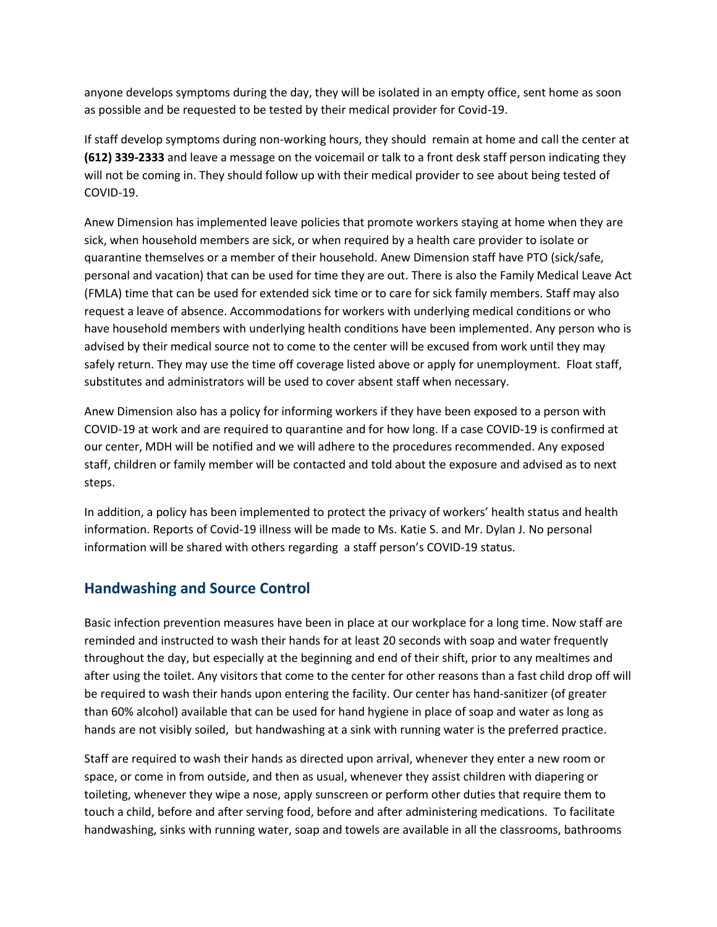anyone develops symptoms during the day, they will be isolated in an empty office, sent home as soon as possible and be requested to be tested by their medical provider for Covid-19.

If staff develop symptoms during non-working hours, they should remain at home and call the center at **(612) 339-2333** and leave a message on the voicemail or talk to a front desk staff person indicating they will not be coming in. They should follow up with their medical provider to see about being tested of COVID-19.

Anew Dimension has implemented leave policies that promote workers staying at home when they are sick, when household members are sick, or when required by a health care provider to isolate or quarantine themselves or a member of their household. Anew Dimension staff have PTO (sick/safe, personal and vacation) that can be used for time they are out. There is also the Family Medical Leave Act (FMLA) time that can be used for extended sick time or to care for sick family members. Staff may also request a leave of absence. Accommodations for workers with underlying medical conditions or who have household members with underlying health conditions have been implemented. Any person who is advised by their medical source not to come to the center will be excused from work until they may safely return. They may use the time off coverage listed above or apply for unemployment. Float staff, substitutes and administrators will be used to cover absent staff when necessary.

Anew Dimension also has a policy for informing workers if they have been exposed to a person with COVID-19 at work and are required to quarantine and for how long. If a case COVID-19 is confirmed at our center, MDH will be notified and we will adhere to the procedures recommended. Any exposed staff, children or family member will be contacted and told about the exposure and advised as to next steps.

In addition, a policy has been implemented to protect the privacy of workers' health status and health information. Reports of Covid-19 illness will be made to Ms. Katie S. and Mr. Dylan J. No personal information will be shared with others regarding a staff person's COVID-19 status.

### **Handwashing and Source Control**

Basic infection prevention measures have been in place at our workplace for a long time. Now staff are reminded and instructed to wash their hands for at least 20 seconds with soap and water frequently throughout the day, but especially at the beginning and end of their shift, prior to any mealtimes and after using the toilet. Any visitors that come to the center for other reasons than a fast child drop off will be required to wash their hands upon entering the facility. Our center has hand-sanitizer (of greater than 60% alcohol) available that can be used for hand hygiene in place of soap and water as long as hands are not visibly soiled, but handwashing at a sink with running water is the preferred practice.

Staff are required to wash their hands as directed upon arrival, whenever they enter a new room or space, or come in from outside, and then as usual, whenever they assist children with diapering or toileting, whenever they wipe a nose, apply sunscreen or perform other duties that require them to touch a child, before and after serving food, before and after administering medications. To facilitate handwashing, sinks with running water, soap and towels are available in all the classrooms, bathrooms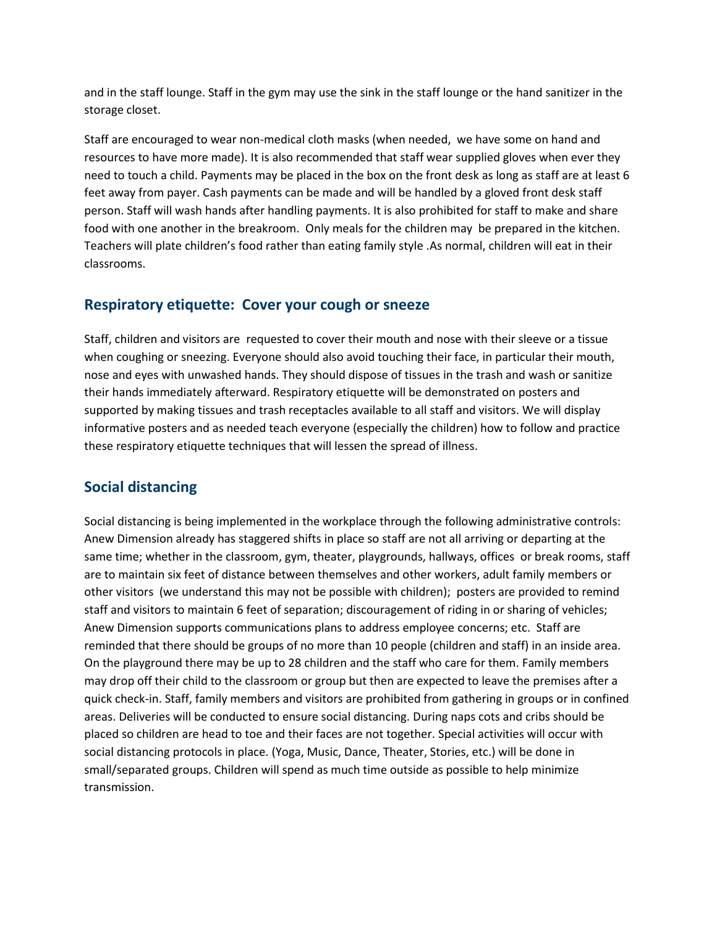and in the staff lounge. Staff in the gym may use the sink in the staff lounge or the hand sanitizer in the storage closet.

Staff are encouraged to wear non-medical cloth masks (when needed, we have some on hand and resources to have more made). It is also recommended that staff wear supplied gloves when ever they need to touch a child. Payments may be placed in the box on the front desk as long as staff are at least 6 feet away from payer. Cash payments can be made and will be handled by a gloved front desk staff person. Staff will wash hands after handling payments. It is also prohibited for staff to make and share food with one another in the breakroom. Only meals for the children may be prepared in the kitchen. Teachers will plate children's food rather than eating family style .As normal, children will eat in their classrooms.

#### **Respiratory etiquette: Cover your cough or sneeze**

Staff, children and visitors are requested to cover their mouth and nose with their sleeve or a tissue when coughing or sneezing. Everyone should also avoid touching their face, in particular their mouth, nose and eyes with unwashed hands. They should dispose of tissues in the trash and wash or sanitize their hands immediately afterward. Respiratory etiquette will be demonstrated on posters and supported by making tissues and trash receptacles available to all staff and visitors. We will display informative posters and as needed teach everyone (especially the children) how to follow and practice these respiratory etiquette techniques that will lessen the spread of illness.

## **Social distancing**

Social distancing is being implemented in the workplace through the following administrative controls: Anew Dimension already has staggered shifts in place so staff are not all arriving or departing at the same time; whether in the classroom, gym, theater, playgrounds, hallways, offices or break rooms, staff are to maintain six feet of distance between themselves and other workers, adult family members or other visitors (we understand this may not be possible with children); posters are provided to remind staff and visitors to maintain 6 feet of separation; discouragement of riding in or sharing of vehicles; Anew Dimension supports communications plans to address employee concerns; etc. Staff are reminded that there should be groups of no more than 10 people (children and staff) in an inside area. On the playground there may be up to 28 children and the staff who care for them. Family members may drop off their child to the classroom or group but then are expected to leave the premises after a quick check-in. Staff, family members and visitors are prohibited from gathering in groups or in confined areas. Deliveries will be conducted to ensure social distancing. During naps cots and cribs should be placed so children are head to toe and their faces are not together. Special activities will occur with social distancing protocols in place. (Yoga, Music, Dance, Theater, Stories, etc.) will be done in small/separated groups. Children will spend as much time outside as possible to help minimize transmission.